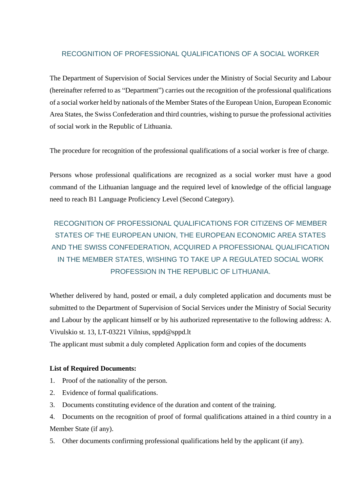## RECOGNITION OF PROFESSIONAL QUALIFICATIONS OF A SOCIAL WORKER

The Department of Supervision of Social Services under the Ministry of Social Security and Labour (hereinafter referred to as "Department") carries out the recognition of the professional qualifications of a social worker held by nationals of the Member States of the European Union, European Economic Area States, the Swiss Confederation and third countries, wishing to pursue the professional activities of social work in the Republic of Lithuania.

The procedure for recognition of the professional qualifications of a social worker is free of charge.

Persons whose professional qualifications are recognized as a social worker must have a good command of the Lithuanian language and the required level of knowledge of the official language need to reach B1 Language Proficiency Level (Second Category).

# RECOGNITION OF PROFESSIONAL QUALIFICATIONS FOR CITIZENS OF MEMBER STATES OF THE EUROPEAN UNION, THE EUROPEAN ECONOMIC AREA STATES AND THE SWISS CONFEDERATION, ACQUIRED A PROFESSIONAL QUALIFICATION IN THE MEMBER STATES, WISHING TO TAKE UP A REGULATED SOCIAL WORK PROFESSION IN THE REPUBLIC OF LITHUANIA.

Whether delivered by hand, posted or email, a duly completed application and documents must be submitted to the Department of Supervision of Social Services under the Ministry of Social Security and Labour by the applicant himself or by his authorized representative to the following address: A. Vivulskio st. 13, LT-03221 Vilnius, sppd@sppd.lt

The applicant must submit a duly completed Application form and copies of the documents

### **List of Required Documents:**

- 1. Proof of the nationality of the person.
- 2. Evidence of formal qualifications.
- 3. Documents constituting evidence of the duration and content of the training.
- 4. Documents on the recognition of proof of formal qualifications attained in a third country in a Member State (if any).
- 5. Other documents confirming professional qualifications held by the applicant (if any).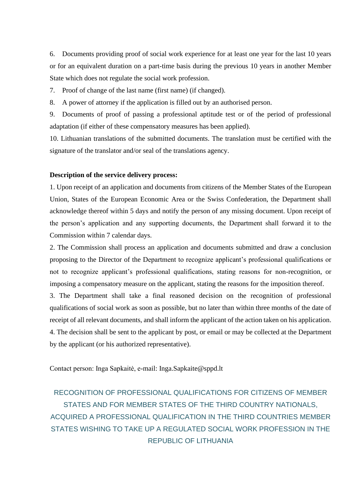6. Documents providing proof of social work experience for at least one year for the last 10 years or for an equivalent duration on a part-time basis during the previous 10 years in another Member State which does not regulate the social work profession.

7. Proof of change of the last name (first name) (if changed).

8. A power of attorney if the application is filled out by an authorised person.

9. Documents of proof of passing a professional aptitude test or of the period of professional adaptation (if either of these compensatory measures has been applied).

10. Lithuanian translations of the submitted documents. The translation must be certified with the signature of the translator and/or seal of the translations agency.

#### **Description of the service delivery process:**

1. Upon receipt of an application and documents from citizens of the Member States of the European Union, States of the European Economic Area or the Swiss Confederation, the Department shall acknowledge thereof within 5 days and notify the person of any missing document. Upon receipt of the person's application and any supporting documents, the Department shall forward it to the Commission within 7 calendar days.

2. The Commission shall process an application and documents submitted and draw a conclusion proposing to the Director of the Department to recognize applicant's professional qualifications or not to recognize applicant's professional qualifications, stating reasons for non-recognition, or imposing a compensatory measure on the applicant, stating the reasons for the imposition thereof.

3. The Department shall take a final reasoned decision on the recognition of professional qualifications of social work as soon as possible, but no later than within three months of the date of receipt of all relevant documents, and shall inform the applicant of the action taken on his application. 4. The decision shall be sent to the applicant by post, or email or may be collected at the Department by the applicant (or his authorized representative).

Contact person: Inga Sapkaitė, e-mail: Inga.Sapkaite@sppd.lt

# RECOGNITION OF PROFESSIONAL QUALIFICATIONS FOR CITIZENS OF MEMBER STATES AND FOR MEMBER STATES OF THE THIRD COUNTRY NATIONALS, ACQUIRED A PROFESSIONAL QUALIFICATION IN THE THIRD COUNTRIES MEMBER STATES WISHING TO TAKE UP A REGULATED SOCIAL WORK PROFESSION IN THE REPUBLIC OF LITHUANIA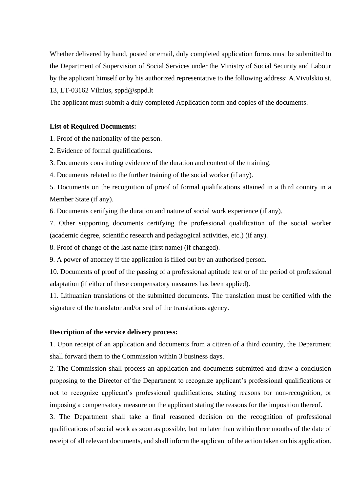Whether delivered by hand, posted or email, duly completed application forms must be submitted to the Department of Supervision of Social Services under the Ministry of Social Security and Labour by the applicant himself or by his authorized representative to the following address: A.Vivulskio st. 13, LT-03162 Vilnius, sppd@sppd.lt

The applicant must submit a duly completed Application form and copies of the documents.

### **List of Required Documents:**

1. Proof of the nationality of the person.

2. Evidence of formal qualifications.

3. Documents constituting evidence of the duration and content of the training.

4. Documents related to the further training of the social worker (if any).

5. Documents on the recognition of proof of formal qualifications attained in a third country in a Member State (if any).

6. Documents certifying the duration and nature of social work experience (if any).

7. Other supporting documents certifying the professional qualification of the social worker (academic degree, scientific research and pedagogical activities, etc.) (if any).

8. Proof of change of the last name (first name) (if changed).

9. A power of attorney if the application is filled out by an authorised person.

10. Documents of proof of the passing of a professional aptitude test or of the period of professional adaptation (if either of these compensatory measures has been applied).

11. Lithuanian translations of the submitted documents. The translation must be certified with the signature of the translator and/or seal of the translations agency.

### **Description of the service delivery process:**

1. Upon receipt of an application and documents from a citizen of a third country, the Department shall forward them to the Commission within 3 business days.

2. The Commission shall process an application and documents submitted and draw a conclusion proposing to the Director of the Department to recognize applicant's professional qualifications or not to recognize applicant's professional qualifications, stating reasons for non-recognition, or imposing a compensatory measure on the applicant stating the reasons for the imposition thereof.

3. The Department shall take a final reasoned decision on the recognition of professional qualifications of social work as soon as possible, but no later than within three months of the date of receipt of all relevant documents, and shall inform the applicant of the action taken on his application.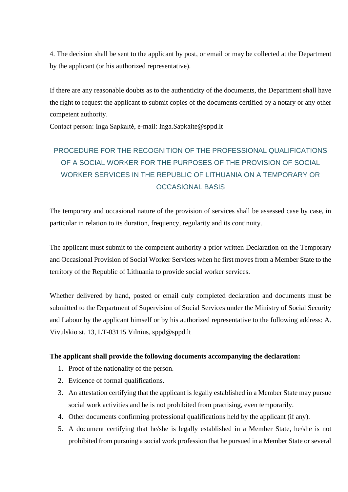4. The decision shall be sent to the applicant by post, or email or may be collected at the Department by the applicant (or his authorized representative).

If there are any reasonable doubts as to the authenticity of the documents, the Department shall have the right to request the applicant to submit copies of the documents certified by a notary or any other competent authority.

Contact person: Inga Sapkaitė, e-mail: Inga.Sapkaite@sppd.lt

# PROCEDURE FOR THE RECOGNITION OF THE PROFESSIONAL QUALIFICATIONS OF A SOCIAL WORKER FOR THE PURPOSES OF THE PROVISION OF SOCIAL WORKER SERVICES IN THE REPUBLIC OF LITHUANIA ON A TEMPORARY OR OCCASIONAL BASIS

The temporary and occasional nature of the provision of services shall be assessed case by case, in particular in relation to its duration, frequency, regularity and its continuity.

The applicant must submit to the competent authority a prior written Declaration on the Temporary and Occasional Provision of Social Worker Services when he first moves from a Member State to the territory of the Republic of Lithuania to provide social worker services.

Whether delivered by hand, posted or email duly completed declaration and documents must be submitted to the Department of Supervision of Social Services under the Ministry of Social Security and Labour by the applicant himself or by his authorized representative to the following address: A. Vivulskio st. 13, LT-03115 Vilnius, sppd@sppd.lt

### **The applicant shall provide the following documents accompanying the declaration:**

- 1. Proof of the nationality of the person.
- 2. Evidence of formal qualifications.
- 3. An attestation certifying that the applicant is legally established in a Member State may pursue social work activities and he is not prohibited from practising, even temporarily.
- 4. Other documents confirming professional qualifications held by the applicant (if any).
- 5. A document certifying that he/she is legally established in a Member State, he/she is not prohibited from pursuing a social work profession that he pursued in a Member State or several